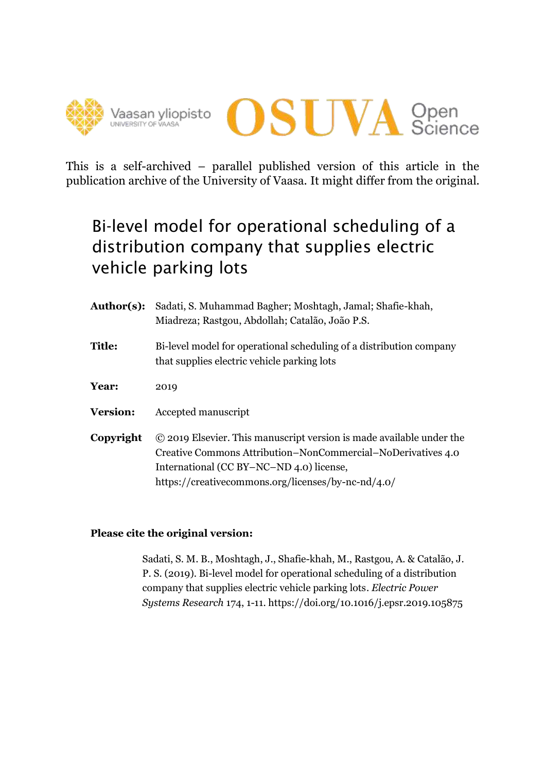



This is a self-archived – parallel published version of this article in the publication archive of the University of Vaasa. It might differ from the original.

# Bi-level model for operational scheduling of a distribution company that supplies electric vehicle parking lots

| <b>Author(s):</b> | Sadati, S. Muhammad Bagher; Moshtagh, Jamal; Shafie-khah,<br>Miadreza; Rastgou, Abdollah; Catalão, João P.S.                                                                                                                           |
|-------------------|----------------------------------------------------------------------------------------------------------------------------------------------------------------------------------------------------------------------------------------|
| <b>Title:</b>     | Bi-level model for operational scheduling of a distribution company<br>that supplies electric vehicle parking lots                                                                                                                     |
| Year:             | 2019                                                                                                                                                                                                                                   |
| <b>Version:</b>   | Accepted manuscript                                                                                                                                                                                                                    |
| Copyright         | © 2019 Elsevier. This manuscript version is made available under the<br>Creative Commons Attribution–NonCommercial–NoDerivatives 4.0<br>International (CC BY-NC-ND 4.0) license,<br>https://creativecommons.org/licenses/by-nc-nd/4.0/ |

# **Please cite the original version:**

Sadati, S. M. B., Moshtagh, J., Shafie-khah, M., Rastgou, A. & Catalão, J. P. S. (2019). Bi-level model for operational scheduling of a distribution company that supplies electric vehicle parking lots. *Electric Power Systems Research* 174, 1-11. https://doi.org/10.1016/j.epsr.2019.105875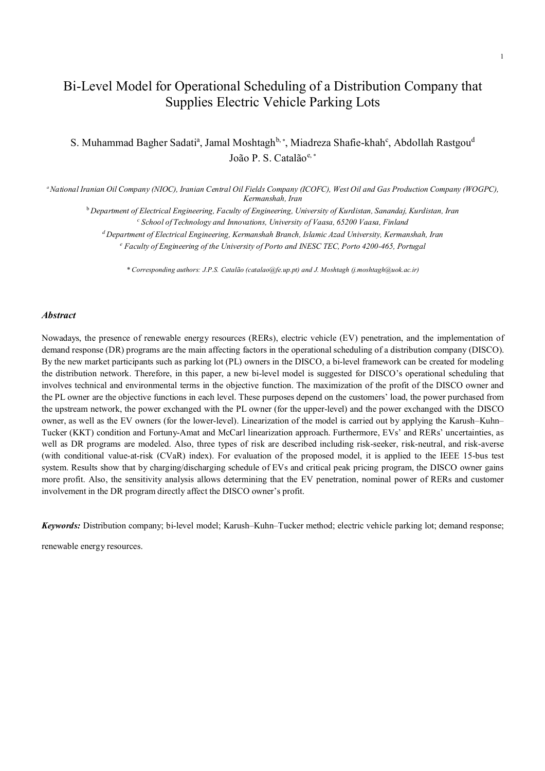# Bi-Level Model for Operational Scheduling of a Distribution Company that Supplies Electric Vehicle Parking Lots

S. Muhammad Bagher Sadati<sup>a</sup>, Jamal Moshtagh<sup>b,</sup>\*, Miadreza Shafie-khah<sup>c</sup>, Abdollah Rastgou<sup>d</sup> João P. S. Catalão<sup>e,\*</sup>

*<sup>a</sup>National Iranian Oil Company (NIOC), Iranian Central Oil Fields Company (ICOFC), West Oil and Gas Production Company (WOGPC), Kermanshah, Iran*

<sup>b</sup>*Department of Electrical Engineering, Faculty of Engineering, University of Kurdistan, Sanandaj, Kurdistan, Iran*

*c School of Technology and Innovations, University of Vaasa, 65200 Vaasa, Finland*

*<sup>d</sup>Department of Electrical Engineering, Kermanshah Branch, Islamic Azad University, Kermanshah, Iran*

*<sup>e</sup> Faculty of Engineering of the University of Porto and INESC TEC, Porto 4200-465, Portugal*

*\* Corresponding authors: J.P.S. Catalão (catalao@fe.up.pt) and J. Moshtagh (j.moshtagh@uok.ac.ir)*

#### *Abstract*

Nowadays, the presence of renewable energy resources (RERs), electric vehicle (EV) penetration, and the implementation of demand response (DR) programs are the main affecting factors in the operational scheduling of a distribution company (DISCO). By the new market participants such as parking lot (PL) owners in the DISCO, a bi-level framework can be created for modeling the distribution network. Therefore, in this paper, a new bi-level model is suggested for DISCO's operational scheduling that involves technical and environmental terms in the objective function. The maximization of the profit of the DISCO owner and the PL owner are the objective functions in each level. These purposes depend on the customers' load, the power purchased from the upstream network, the power exchanged with the PL owner (for the upper-level) and the power exchanged with the DISCO owner, as well as the EV owners (for the lower-level). Linearization of the model is carried out by applying the Karush–Kuhn– Tucker (KKT) condition and Fortuny-Amat and McCarl linearization approach. Furthermore, EVs' and RERs' uncertainties, as well as DR programs are modeled. Also, three types of risk are described including risk-seeker, risk-neutral, and risk-averse (with conditional value-at-risk (CVaR) index). For evaluation of the proposed model, it is applied to the IEEE 15-bus test system. Results show that by charging/discharging schedule of EVs and critical peak pricing program, the DISCO owner gains more profit. Also, the sensitivity analysis allows determining that the EV penetration, nominal power of RERs and customer involvement in the DR program directly affect the DISCO owner's profit.

*Keywords:* Distribution company; bi-level model; Karush–Kuhn–Tucker method; electric vehicle parking lot; demand response;

renewable energy resources.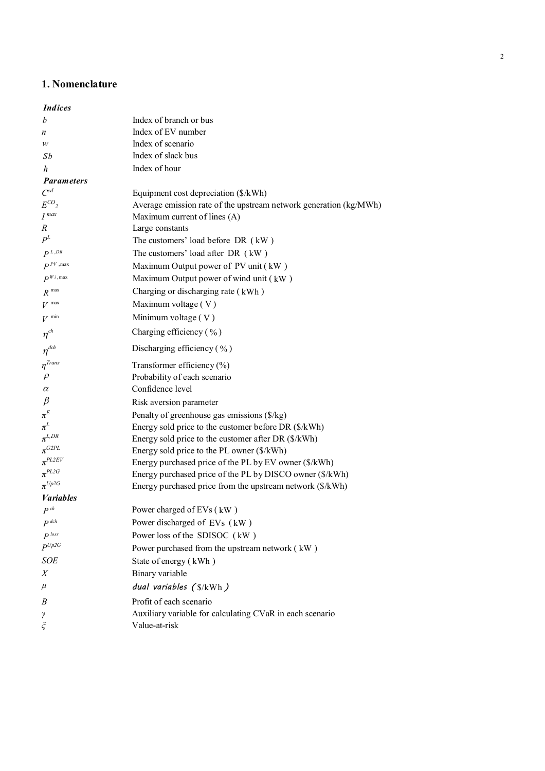# **1. Nomenclature**

# *Indices*

| b                              | Index of branch or bus                                            |
|--------------------------------|-------------------------------------------------------------------|
| n                              | Index of EV number                                                |
| w                              | Index of scenario                                                 |
| Sb                             | Index of slack bus                                                |
| h                              | Index of hour                                                     |
| <b>Parameters</b>              |                                                                   |
| $C^{cd}$                       | Equipment cost depreciation (\$/kWh)                              |
| $E^{CO}$                       | Average emission rate of the upstream network generation (kg/MWh) |
| $I^{max}$                      | Maximum current of lines (A)                                      |
| R                              | Large constants                                                   |
| $P^L$                          | The customers' load before DR (kW)                                |
| $P^{L,DR}$                     | The customers' load after DR (kW)                                 |
| $P^{PV, \text{max}}$           | Maximum Output power of PV unit (kW)                              |
| $P^{Wi, \text{max}}$           | Maximum Output power of wind unit (kW)                            |
| $R^{\max}$                     | Charging or discharging rate (kWh)                                |
| $V$ <sup>max</sup>             | Maximum voltage (V)                                               |
| $V$ <sup>min</sup>             | Minimum voltage (V)                                               |
| $\eta^{ch}$                    | Charging efficiency $(\% )$                                       |
| $\eta^{dch}$                   | Discharging efficiency $(\% )$                                    |
| $\eta^{Trans}$                 | Transformer efficiency (%)                                        |
| $\rho$                         | Probability of each scenario                                      |
| $\alpha$                       | Confidence level                                                  |
| $\beta$                        | Risk aversion parameter                                           |
| $\pi^E$                        | Penalty of greenhouse gas emissions (\$/kg)                       |
| $\pi^{\!\scriptscriptstyle L}$ | Energy sold price to the customer before DR (\$/kWh)              |
| $\pi^{L,DR}$                   | Energy sold price to the customer after DR $(\frac{8}{kWh})$      |
| $\pi^{G2PL}$                   | Energy sold price to the PL owner (\$/kWh)                        |
| $\pi$ <sup>PL2EV</sup>         | Energy purchased price of the PL by EV owner (\$/kWh)             |
| $\pi$ <sup>PL2G</sup>          | Energy purchased price of the PL by DISCO owner (\$/kWh)          |
| $\pi^{Up2G}$                   | Energy purchased price from the upstream network (\$/kWh)         |
| <b>Variables</b>               |                                                                   |
| $P^{ch}$                       | Power charged of EVs (kW)                                         |
| $P^{dch}$                      | Power discharged of EVs (kW)                                      |
| P <sup>loss</sup>              | Power loss of the SDISOC (kW)                                     |
| $P^{Up2G}$                     | Power purchased from the upstream network (kW)                    |
| SOE                            | State of energy (kWh)                                             |
| X                              | Binary variable                                                   |
| $\mu$                          | dual variables (\$/kWh)                                           |
| B                              | Profit of each scenario                                           |
| γ                              | Auxiliary variable for calculating CVaR in each scenario          |
| ξ                              | Value-at-risk                                                     |
|                                |                                                                   |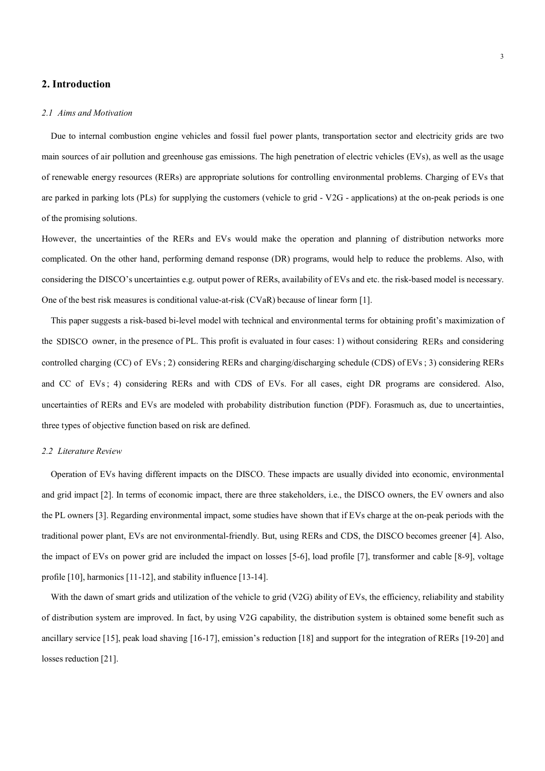# **2. Introduction**

#### *2.1 Aims and Motivation*

Due to internal combustion engine vehicles and fossil fuel power plants, transportation sector and electricity grids are two main sources of air pollution and greenhouse gas emissions. The high penetration of electric vehicles (EVs), as well as the usage of renewable energy resources (RERs) are appropriate solutions for controlling environmental problems. Charging of EVs that are parked in parking lots (PLs) for supplying the customers (vehicle to grid - V2G - applications) at the on-peak periods is one of the promising solutions.

However, the uncertainties of the RERs and EVs would make the operation and planning of distribution networks more complicated. On the other hand, performing demand response (DR) programs, would help to reduce the problems. Also, with considering the DISCO's uncertainties e.g. output power of RERs, availability of EVs and etc. the risk-based model is necessary. One of the best risk measures is conditional value-at-risk (CVaR) because of linear form [1].

This paper suggests a risk-based bi-level model with technical and environmental terms for obtaining profit's maximization of the SDISCO owner, in the presence of PL. This profit is evaluated in four cases: 1) without considering RERs and considering controlled charging (CC) of EVs ; 2) considering RERs and charging/discharging schedule (CDS) of EVs ; 3) considering RERs and CC of EVs ; 4) considering RERs and with CDS of EVs. For all cases, eight DR programs are considered. Also, uncertainties of RERs and EVs are modeled with probability distribution function (PDF). Forasmuch as, due to uncertainties, three types of objective function based on risk are defined.

#### *2.2 Literature Review*

Operation of EVs having different impacts on the DISCO. These impacts are usually divided into economic, environmental and grid impact [2]. In terms of economic impact, there are three stakeholders, i.e., the DISCO owners, the EV owners and also the PL owners [3]. Regarding environmental impact, some studies have shown that if EVs charge at the on-peak periods with the traditional power plant, EVs are not environmental-friendly. But, using RERs and CDS, the DISCO becomes greener [4]. Also, the impact of EVs on power grid are included the impact on losses [5-6], load profile [7], transformer and cable [8-9], voltage profile [10], harmonics [11-12], and stability influence [13-14].

With the dawn of smart grids and utilization of the vehicle to grid (V2G) ability of EVs, the efficiency, reliability and stability of distribution system are improved. In fact, by using V2G capability, the distribution system is obtained some benefit such as ancillary service [15], peak load shaving [16-17], emission's reduction [18] and support for the integration of RERs [19-20] and losses reduction [21].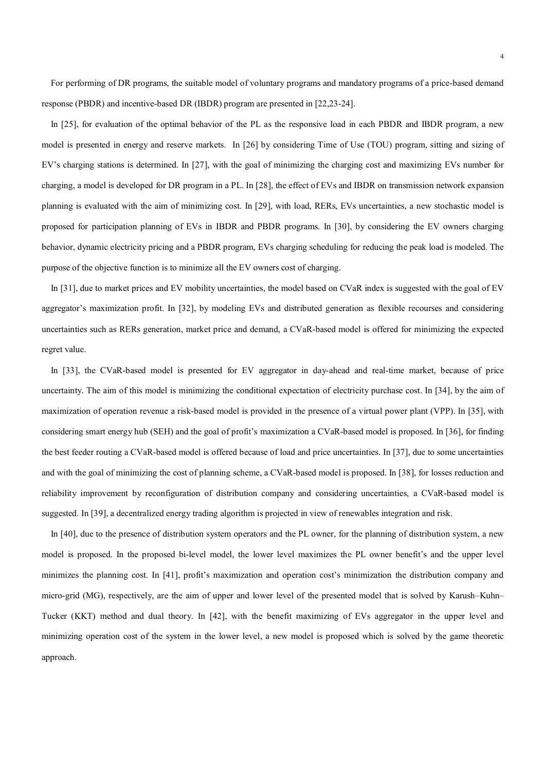For performing of DR programs, the suitable model of voluntary programs and mandatory programs of a price-based demand response (PBDR) and incentive-based DR (IBDR) program are presented in [22,23-24].

In [25], for evaluation of the optimal behavior of the PL as the responsive load in each PBDR and IBDR program, a new model is presented in energy and reserve markets. In [26] by considering Time of Use (TOU) program, sitting and sizing of EV's charging stations is determined. In [27], with the goal of minimizing the charging cost and maximizing EVs number for charging, a model is developed for DR program in a PL. In [28], the effect of EVs and IBDR on transmission network expansion planning is evaluated with the aim of minimizing cost. In [29], with load, RERs, EVs uncertainties, a new stochastic model is proposed for participation planning of EVs in IBDR and PBDR programs. In [30], by considering the EV owners charging behavior, dynamic electricity pricing and a PBDR program, EVs charging scheduling for reducing the peak load is modeled. The purpose of the objective function is to minimize all the EV owners cost of charging.

In [31], due to market prices and EV mobility uncertainties, the model based on CVaR index is suggested with the goal of EV aggregator's maximization profit. In [32], by modeling EVs and distributed generation as flexible recourses and considering uncertainties such as RERs generation, market price and demand, a CVaR-based model is offered for minimizing the expected regret value.

In [33], the CVaR-based model is presented for EV aggregator in day-ahead and real-time market, because of price uncertainty. The aim of this model is minimizing the conditional expectation of electricity purchase cost. In [34], by the aim of maximization of operation revenue a risk-based model is provided in the presence of a virtual power plant (VPP). In [35], with considering smart energy hub (SEH) and the goal of profit's maximization a CVaR-based model is proposed. In [36], for finding the best feeder routing a CVaR-based model is offered because of load and price uncertainties. In [37], due to some uncertainties and with the goal of minimizing the cost of planning scheme, a CVaR-based model is proposed. In [38], for losses reduction and reliability improvement by reconfiguration of distribution company and considering uncertainties, a CVaR-based model is suggested. In [39], a decentralized energy trading algorithm is projected in view of renewables integration and risk.

In [40], due to the presence of distribution system operators and the PL owner, for the planning of distribution system, a new model is proposed. In the proposed bi-level model, the lower level maximizes the PL owner benefit's and the upper level minimizes the planning cost. In [41], profit's maximization and operation cost's minimization the distribution company and micro-grid (MG), respectively, are the aim of upper and lower level of the presented model that is solved by Karush–Kuhn– Tucker (KKT) method and dual theory. In [42], with the benefit maximizing of EVs aggregator in the upper level and minimizing operation cost of the system in the lower level, a new model is proposed which is solved by the game theoretic approach.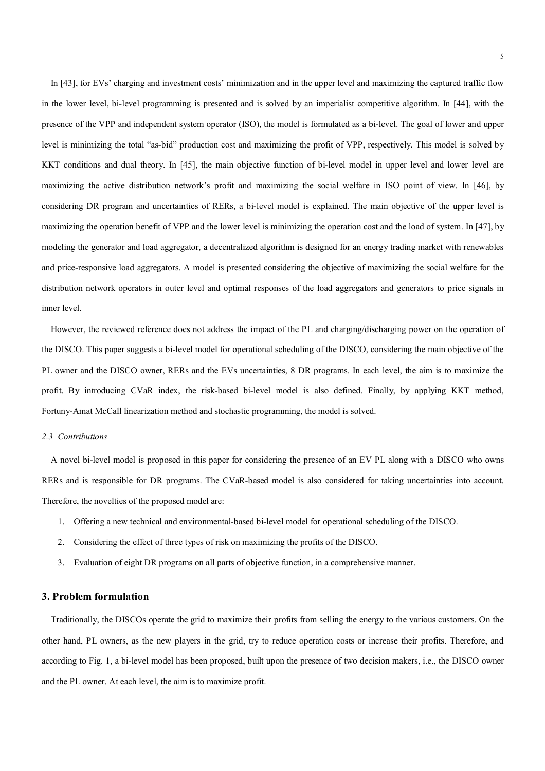In [43], for EVs' charging and investment costs' minimization and in the upper level and maximizing the captured traffic flow in the lower level, bi-level programming is presented and is solved by an imperialist competitive algorithm. In [44], with the presence of the VPP and independent system operator (ISO), the model is formulated as a bi-level. The goal of lower and upper level is minimizing the total "as-bid" production cost and maximizing the profit of VPP, respectively. This model is solved by KKT conditions and dual theory. In [45], the main objective function of bi-level model in upper level and lower level are maximizing the active distribution network's profit and maximizing the social welfare in ISO point of view. In [46], by considering DR program and uncertainties of RERs, a bi-level model is explained. The main objective of the upper level is maximizing the operation benefit of VPP and the lower level is minimizing the operation cost and the load of system. In [47], by modeling the generator and load aggregator, a decentralized algorithm is designed for an energy trading market with renewables and price-responsive load aggregators. A model is presented considering the objective of maximizing the social welfare for the distribution network operators in outer level and optimal responses of the load aggregators and generators to price signals in inner level.

However, the reviewed reference does not address the impact of the PL and charging/discharging power on the operation of the DISCO. This paper suggests a bi-level model for operational scheduling of the DISCO, considering the main objective of the PL owner and the DISCO owner, RERs and the EVs uncertainties, 8 DR programs. In each level, the aim is to maximize the profit. By introducing CVaR index, the risk-based bi-level model is also defined. Finally, by applying KKT method, Fortuny-Amat McCall linearization method and stochastic programming, the model is solved.

### *2.3 Contributions*

A novel bi-level model is proposed in this paper for considering the presence of an EV PL along with a DISCO who owns RERs and is responsible for DR programs. The CVaR-based model is also considered for taking uncertainties into account. Therefore, the novelties of the proposed model are:

- 1. Offering a new technical and environmental-based bi-level model for operational scheduling of the DISCO.
- 2. Considering the effect of three types of risk on maximizing the profits of the DISCO.
- 3. Evaluation of eight DR programs on all parts of objective function, in a comprehensive manner.

# **3. Problem formulation**

Traditionally, the DISCOs operate the grid to maximize their profits from selling the energy to the various customers. On the other hand, PL owners, as the new players in the grid, try to reduce operation costs or increase their profits. Therefore, and according to Fig. 1, a bi-level model has been proposed, built upon the presence of two decision makers, i.e., the DISCO owner and the PL owner. At each level, the aim is to maximize profit.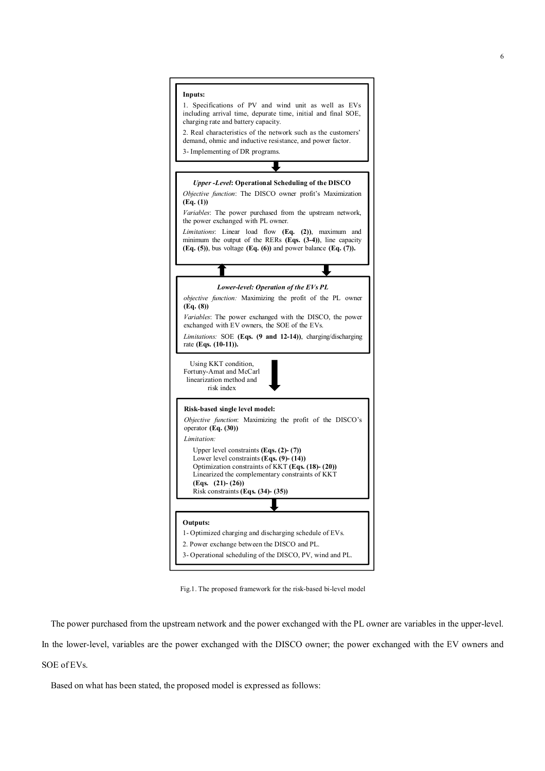**Inputs:** 1. Specifications of PV and wind unit as well as EVs including arrival time, depurate time, initial and final SOE, charging rate and battery capacity. 2. Real characteristics of the network such as the customers' demand, ohmic and inductive resistance, and power factor. 3- Implementing of DR programs. **Risk-based single level model:** *Objective function*: Maximizing the profit of the DISCO's operator **(Eq. (30))** *Limitation:* Upper level constraints **(Eqs. (2)- (7))** Lower level constraints **(Eqs. (9)- (14))** Optimization constraints of KKT **(Eqs. (18)- (20))** Linearized the complementary constraints of KKT **(Eqs. (21)- (26))** Risk constraints **(Eqs. (34)- (35))** *Upper -Level***: Operational Scheduling of the DISCO** *Objective function*: The DISCO owner profit's Maximization **(Eq. (1))** *Variables*: The power purchased from the upstream network, the power exchanged with PL owner. *Limitations*: Linear load flow **(Eq. (2))**, maximum and minimum the output of the RERs **(Eqs. (3-4))**, line capacity **(Eq. (5))**, bus voltage **(Eq. (6))** and power balance **(Eq. (7)).** *Lower-level: Operation of the EVs PL objective function:* Maximizing the profit of the PL owner **(Eq. (8))** *Variables*: The power exchanged with the DISCO, the power exchanged with EV owners, the SOE of the EVs. *Limitations:* SOE **(Eqs. (9 and 12-14))**, charging/discharging rate **(Eqs. (10-11)). Outputs:** 1- Optimized charging and discharging schedule of EVs. Using KKT condition, Fortuny-Amat and McCarl linearization method and risk index

Fig.1. The proposed framework for the risk-based bi-level model

3- Operational scheduling of the DISCO, PV, wind and PL.

2. Power exchange between the DISCO and PL.

The power purchased from the upstream network and the power exchanged with the PL owner are variables in the upper-level. In the lower-level, variables are the power exchanged with the DISCO owner; the power exchanged with the EV owners and SOE of EVs.

Based on what has been stated, the proposed model is expressed as follows: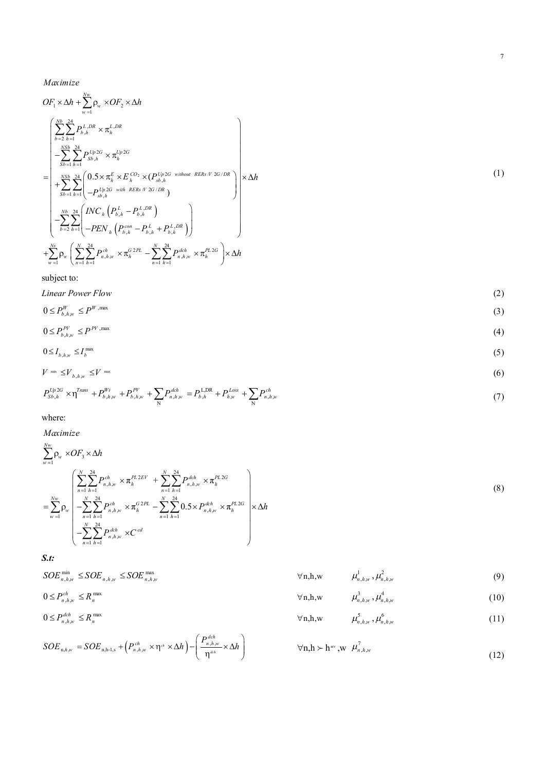*Maximize*

$$
OF_{1} \times \Delta h + \sum_{w=1}^{N_{w}} \rho_{w} \times OF_{2} \times \Delta h
$$
\n
$$
\begin{aligned}\n&\left(\sum_{b=2}^{N_{b}} \sum_{h=1}^{24} P_{b,h}^{L,DR} \times \pi_{h}^{L,DR} - \sum_{s=1}^{N_{b}} \sum_{h=1}^{24} P_{s,b,h}^{U_{p}2G} \times \pi_{h}^{U_{p}2G}\right) \\
&= \begin{pmatrix}\n\sum_{N=2}^{N_{b}} \sum_{h=1}^{24} P_{Sb,h}^{U_{p}2G} \times \pi_{h}^{U_{p}2G} \\
+ \sum_{Sb=1}^{N_{b}} \sum_{h=1}^{24} \left( 0.5 \times \pi_{h}^{E} \times E_{s,h}^{CO_{2}} \times (P_{s,b,h}^{U_{p}2G} \text{ without } RERs/V 2G/DR} \right) \\
+ \sum_{s=b=1}^{N_{b}} \sum_{h=1}^{24} \left( INC_{h} \left( P_{b,h}^{L} - P_{b,h}^{L,DR} \right) \\
- PEN_{h} \left( P_{b,h}^{con} - P_{b,h}^{L} + P_{b,h}^{L,DR} \right)\right) \\
+ \sum_{w=1}^{N_{s}} \rho_{w} \left( \sum_{n=1}^{N} \sum_{h=1}^{24} P_{n,h,w}^{ch} \times \pi_{h}^{G2PL} - \sum_{n=1}^{N} \sum_{h=1}^{24} P_{n,h,w}^{dch} \times \pi_{h}^{PL2G} \right) \times \Delta h\n\end{aligned}
$$

subject to:

$$
Linear Power Flow \tag{2}
$$

$$
0 \le P_{b,h,w}^W \le P^{W,\max} \tag{3}
$$

$$
0 \le P_{b,h,w}^{PV} \le P^{PV,\max} \tag{4}
$$

$$
0 \le I_{b,h,w} \le I_b^{\max} \tag{5}
$$

$$
V^{\min} \leq V_{b,h,w} \leq V^{\max} \tag{6}
$$

$$
P_{Sb,h}^{Up2G} \times \eta^{Trms} + P_{b,h,w}^{Wi} + P_{b,h,w}^{PV} + \sum_{N} P_{n,h,w}^{dch} = P_{b,h}^{LDR} + P_{h,w}^{Loss} + \sum_{N} P_{n,h,w}^{ch}
$$
(7)

where:

*Maximize*

$$
\sum_{w=1}^{Nw} \rho_w \times OF_3 \times \Delta h
$$
\n
$$
= \sum_{w=1}^{Nw} \rho_w \left( \frac{\sum_{n=1}^{N} \sum_{h=1}^{24} P_{n,h,w}^{ch} \times \pi_h^{PL2EV} + \sum_{n=1}^{N} \sum_{h=1}^{24} P_{n,h,w}^{dch} \times \pi_h^{PL2G}}{-\sum_{n=1}^{N} \sum_{h=1}^{24} P_{n,h,w}^{ch} \times \pi_h^{G2PL} - \sum_{n=1}^{N} \sum_{h=1}^{24} 0.5 \times P_{n,h,w}^{dch} \times \pi_h^{PL2G}} \right) \times \Delta h
$$
\n
$$
= \sum_{n=1}^{N} \sum_{h=1}^{24} P_{n,h,w}^{dch} \times C^{cd}
$$
\n(8)

*S.t:*

$$
SOE_{n,h,w}^{\min} \le SOE_{n,h,w} \le SOE_{n,h,w}^{\max}
$$
\n
$$
0 \le P_{n,h,w}^{ch} \le R_n^{\max}
$$
\n
$$
0 \le P_{n,h,w}^{ch} \le R_n^{\max}
$$
\n
$$
0 \le P_{n,h,w}^{ch} \le R_n^{\max}
$$
\n
$$
0 \le P_{n,h,w}^{d,h} \le R_n^{\max}
$$
\n
$$
0 \le P_{n,h,w}^{ch} \le R_n^{\max}
$$
\n
$$
0 \le P_{n,h,w}^{ch} \le R_n^{\max}
$$
\n
$$
0 \le P_{n,h,w}^{ch} \le R_n^{\max}
$$
\n
$$
(10)
$$

$$
SOE_{n,h,w} = SOE_{n,h-1,s} + \left(P_{n,h,w}^{ch} \times \eta^{ch} \times \Delta h\right) - \left(\frac{P_{n,h,w}^{dch}}{\eta^{de}} \times \Delta h\right)
$$
  
 
$$
\forall n,h \succ h^{av}, w \mu_{n,h,w}^{7}
$$

$$
\mu_{n,h,w}^{7}
$$
 (12)

(1)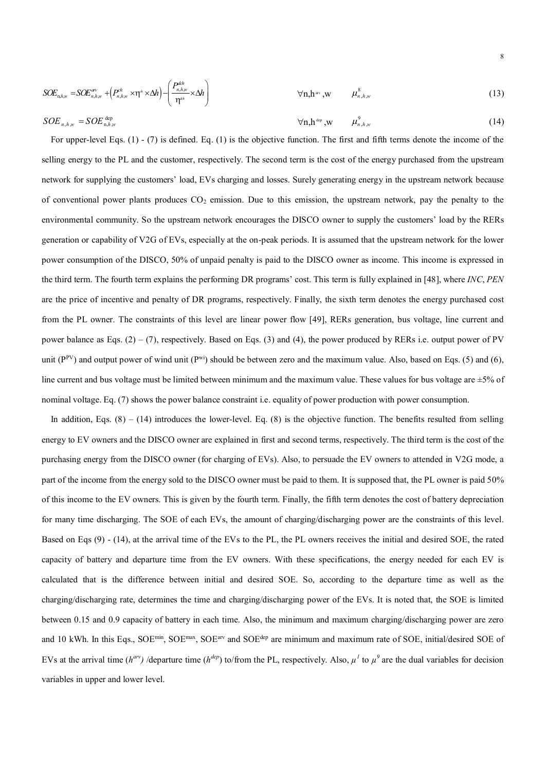$$
SOE_{n,h,w} = SOE_{n,h,w}^{aw} + \left(P_{n,h,w}^{ch} \times \eta^{ab} \times \Delta h\right) - \left(\frac{P_{n,h,w}^{Sch}}{\eta^{ab}} \times \Delta h\right) \qquad \forall n, h^{aw}, w \qquad \mu_{n,h,w}^{8}
$$
(13)

 $SOE_{n,h,w} = SOE_{n,h,w}^{\text{dep}}$  $\forall n, h^{\text{dep}}, w \qquad \mu_{n,h,w}^9$  (14)

For upper-level Eqs. (1) - (7) is defined. Eq. (1) is the objective function. The first and fifth terms denote the income of the selling energy to the PL and the customer, respectively. The second term is the cost of the energy purchased from the upstream network for supplying the customers' load, EVs charging and losses. Surely generating energy in the upstream network because of conventional power plants produces  $CO_2$  emission. Due to this emission, the upstream network, pay the penalty to the environmental community. So the upstream network encourages the DISCO owner to supply the customers' load by the RERs generation or capability of V2G of EVs, especially at the on-peak periods. It is assumed that the upstream network for the lower power consumption of the DISCO, 50% of unpaid penalty is paid to the DISCO owner as income. This income is expressed in the third term. The fourth term explains the performing DR programs' cost. This term is fully explained in [48], where *INC*, *PEN* are the price of incentive and penalty of DR programs, respectively. Finally, the sixth term denotes the energy purchased cost from the PL owner. The constraints of this level are linear power flow [49], RERs generation, bus voltage, line current and power balance as Eqs.  $(2) - (7)$ , respectively. Based on Eqs.  $(3)$  and  $(4)$ , the power produced by RERs i.e. output power of PV unit ( $P^{PV}$ ) and output power of wind unit ( $P^{w}$ ) should be between zero and the maximum value. Also, based on Eqs. (5) and (6), line current and bus voltage must be limited between minimum and the maximum value. These values for bus voltage are  $\pm 5\%$  of nominal voltage. Eq. (7) shows the power balance constraint i.e. equality of power production with power consumption.

In addition, Eqs.  $(8) - (14)$  introduces the lower-level. Eq.  $(8)$  is the objective function. The benefits resulted from selling energy to EV owners and the DISCO owner are explained in first and second terms, respectively. The third term is the cost of the purchasing energy from the DISCO owner (for charging of EVs). Also, to persuade the EV owners to attended in V2G mode, a part of the income from the energy sold to the DISCO owner must be paid to them. It is supposed that, the PL owner is paid 50% of this income to the EV owners. This is given by the fourth term. Finally, the fifth term denotes the cost of battery depreciation for many time discharging. The SOE of each EVs, the amount of charging/discharging power are the constraints of this level. Based on Eqs (9) - (14), at the arrival time of the EVs to the PL, the PL owners receives the initial and desired SOE, the rated capacity of battery and departure time from the EV owners. With these specifications, the energy needed for each EV is calculated that is the difference between initial and desired SOE. So, according to the departure time as well as the charging/discharging rate, determines the time and charging/discharging power of the EVs. It is noted that, the SOE is limited between 0.15 and 0.9 capacity of battery in each time. Also, the minimum and maximum charging/discharging power are zero and 10 kWh. In this Eqs., SOE<sup>min</sup>, SOE<sup>max</sup>, SOE<sup>arv</sup> and SOE<sup>dep</sup> are minimum and maximum rate of SOE, initial/desired SOE of EVs at the arrival time (*h<sup>arv</sup>*) /departure time (*h*<sup>dep</sup>) to/from the PL, respectively. Also,  $\mu^1$  to  $\mu^9$  are the dual variables for decision variables in upper and lower level.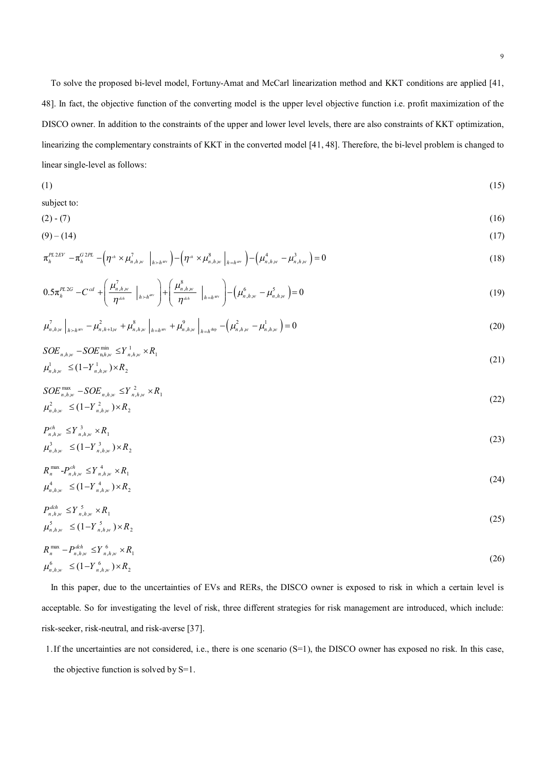To solve the proposed bi-level model, Fortuny-Amat and McCarl linearization method and KKT conditions are applied [41, 48]. In fact, the objective function of the converting model is the upper level objective function i.e. profit maximization of the DISCO owner. In addition to the constraints of the upper and lower level levels, there are also constraints of KKT optimization, linearizing the complementary constraints of KKT in the converted model [41, 48]. Therefore, the bi-level problem is changed to linear single-level as follows:

$$
(1) \t(15)
$$

subject to:

$$
(2) - (7) \tag{16}
$$

$$
(9) - (14) \tag{17}
$$

$$
\pi_h^{\text{PL2EV}} - \pi_h^{\text{G2PL}} - \left(\eta^{\text{A}} \times \mu_{n,h,w}^{\gamma}\big|_{h \succ h^{w}}\right) - \left(\eta^{\text{A}} \times \mu_{n,h,w}^{\text{S}}\big|_{h = h^{w}}\right) - \left(\mu_{n,h,w}^{\text{A}} - \mu_{n,h,w}^{\text{A}}\right) = 0
$$
\n(18)

$$
0.5\pi_h^{PL2G} - C^{cd} + \left(\frac{\mu_{n,h,w}^{\gamma}}{\eta^{d\phi}}\Big|_{h>h^{av}}\right) + \left(\frac{\mu_{n,h,w}^8}{\eta^{d\phi}}\Big|_{h=h^{av}}\right) - \left(\mu_{n,h,w}^6 - \mu_{n,h,w}^5\right) = 0
$$
\n(19)

$$
\mu_{n,h,w}^7 \big|_{h \succ h^{av}} - \mu_{n,h+1,w}^2 + \mu_{n,h,w}^8 \big|_{h=h^{av}} + \mu_{n,h,w}^9 \big|_{h=h^{dep}} - \big( \mu_{n,h,w}^2 - \mu_{n,h,w}^1 \big) = 0 \tag{20}
$$

$$
SOE_{n,h,w} - SOE_{n,h,w}^{\min} \le Y_{n,h,w}^1 \times R_1
$$
  
\n
$$
\mu_{n,h,w}^1 \le (1 - Y_{n,h,w}^1) \times R_2
$$
\n(21)

$$
SOE_{n,h,w}^{\max} - SOE_{n,h,w} \le Y_{n,h,w}^2 \times R_1
$$
  

$$
\mu_{n,h,w}^2 \le (1 - Y_{n,h,w}^2) \times R_2
$$
 (22)

$$
P_{n,h,w}^{ch} \leq Y_{n,h,w}^{3} \times R_{1}
$$
  

$$
\mu_{n,h,w}^{3} \leq (1 - Y_{n,h,w}^{3}) \times R_{2}
$$
 (23)

$$
R_n^{\max} - P_{n,h,w}^{ch} \le Y_{n,h,w}^4 \times R_1
$$
  
\n
$$
\mu_{n,h,w}^4 \le (1 - Y_{n,h,w}^4) \times R_2
$$
\n(24)

$$
P_{n,h,w}^{dch} \le Y_{n,h,w}^5 \times R_1 \tag{25}
$$

$$
\mu_{n,h,w}^5 \le (1 - Y_{n,h,w}^5) \times R_2 \tag{25}
$$

$$
R_n^{\max} - P_{n,h,w}^{dch} \le Y_{n,h,w}^6 \times R_1
$$
  

$$
\mu_{n,h,w}^6 \le (1 - Y_{n,h,w}^6) \times R_2
$$
 (26)

In this paper, due to the uncertainties of EVs and RERs, the DISCO owner is exposed to risk in which a certain level is acceptable. So for investigating the level of risk, three different strategies for risk management are introduced, which include: risk-seeker, risk-neutral, and risk-averse [37].

1.If the uncertainties are not considered, i.e., there is one scenario (S=1), the DISCO owner has exposed no risk. In this case, the objective function is solved by S=1.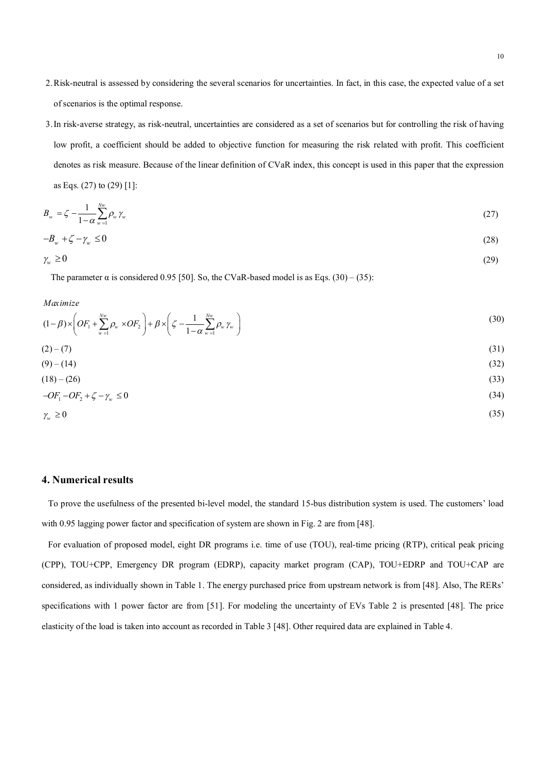- 2.Risk-neutral is assessed by considering the several scenarios for uncertainties. In fact, in this case, the expected value of a set of scenarios is the optimal response.
- 3.In risk-averse strategy, as risk-neutral, uncertainties are considered as a set of scenarios but for controlling the risk of having low profit, a coefficient should be added to objective function for measuring the risk related with profit. This coefficient denotes as risk measure. Because of the linear definition of CVaR index, this concept is used in this paper that the expression as Eqs. (27) to (29) [1]:

$$
B_{\scriptscriptstyle W} = \zeta - \frac{1}{1 - \alpha} \sum_{\scriptscriptstyle W=1}^{N_{\scriptscriptstyle W}} \rho_{\scriptscriptstyle W} \gamma_{\scriptscriptstyle W} \tag{27}
$$

$$
-B_{w} + \zeta - \gamma_{w} \le 0 \tag{28}
$$

$$
\gamma_{w} \ge 0 \tag{29}
$$

The parameter  $\alpha$  is considered 0.95 [50]. So, the CVaR-based model is as Eqs. (30) – (35):

*Maximize*

$$
(1-\beta) \times \left( OF_1 + \sum_{w=1}^{Nw} \rho_w \times OF_2 \right) + \beta \times \left( \zeta - \frac{1}{1-\alpha} \sum_{w=1}^{Nw} \rho_w \gamma_w \right)
$$
\n(30)

$$
(2) - (7) \tag{31}
$$
  

$$
(9) - (14) \tag{32}
$$

$$
(18) - (26) \tag{33}
$$

$$
-OF_1 - OF_2 + \zeta - \gamma_w \le 0 \tag{34}
$$

$$
\gamma_w \ge 0 \tag{35}
$$

# **4. Numerical results**

To prove the usefulness of the presented bi-level model, the standard 15-bus distribution system is used. The customers' load with 0.95 lagging power factor and specification of system are shown in Fig. 2 are from [48].

For evaluation of proposed model, eight DR programs i.e. time of use (TOU), real-time pricing (RTP), critical peak pricing (CPP), TOU+CPP, Emergency DR program (EDRP), capacity market program (CAP), TOU+EDRP and TOU+CAP are considered, as individually shown in Table 1. The energy purchased price from upstream network is from [48]. Also, The RERs' specifications with 1 power factor are from [51]. For modeling the uncertainty of EVs Table 2 is presented [48]. The price elasticity of the load is taken into account as recorded in Table 3 [48]. Other required data are explained in Table 4.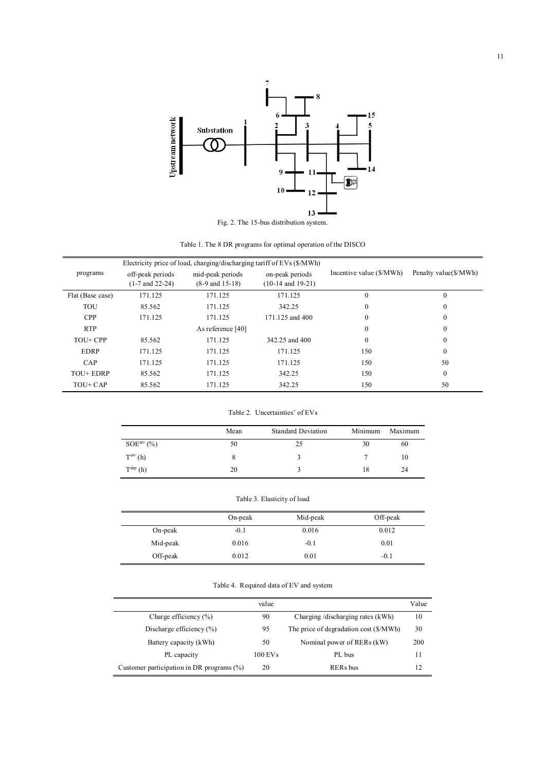

Fig. 2. The 15-bus distribution system.

Table 1. The 8 DR programs for optimal operation of the DISCO

|                  |                                         |                                                | Electricity price of load, charging/discharging tariff of EVs (\$/MWh) |                          |                       |
|------------------|-----------------------------------------|------------------------------------------------|------------------------------------------------------------------------|--------------------------|-----------------------|
| programs         | off-peak periods<br>$(1-7$ and $22-24)$ | mid-peak periods<br>$(8-9 \text{ and } 15-18)$ | on-peak periods<br>$(10-14$ and $19-21)$                               | Incentive value (\$/MWh) | Penalty value(\$/MWh) |
| Flat (Base case) | 171.125                                 | 171.125                                        | 171.125                                                                | 0                        | $\Omega$              |
| TOU              | 85.562                                  | 171.125                                        | 342.25                                                                 | 0                        | $\bf{0}$              |
| <b>CPP</b>       | 171.125                                 | 171.125                                        | 171.125 and 400                                                        | 0                        | $\bf{0}$              |
| <b>RTP</b>       |                                         | As reference [40]                              |                                                                        | $\theta$                 | $\mathbf{0}$          |
| TOU+ CPP         | 85.562                                  | 171.125                                        | 342.25 and 400                                                         | $\theta$                 | $\mathbf{0}$          |
| <b>EDRP</b>      | 171.125                                 | 171.125                                        | 171.125                                                                | 150                      | $\Omega$              |
| CAP              | 171.125                                 | 171.125                                        | 171.125                                                                | 150                      | 50                    |
| TOU+ EDRP        | 85.562                                  | 171.125                                        | 342.25                                                                 | 150                      | $\mathbf{0}$          |
| TOU+ CAP         | 85.562                                  | 171.125                                        | 342.25                                                                 | 150                      | 50                    |

Table 2. Uncertainties' of EVs

|               | Mean | <b>Standard Deviation</b> | Minimum | Maximum |
|---------------|------|---------------------------|---------|---------|
| $SOEarv(\%)$  | 50   | 25                        | 30      | 60      |
| $Tarv$ (h)    | δ    |                           |         | 10      |
| $T^{dep}$ (h) | 20   |                           | 18      | 24      |

Table 3. Elasticity of load

|          | On-peak | Mid-peak | Off-peak |
|----------|---------|----------|----------|
| On-peak  | $-0.1$  | 0.016    | 0.012    |
| Mid-peak | 0.016   | $-0.1$   | 0.01     |
| Off-peak | 0.012   | 0.01     | $-0.1$   |

Table 4. Required data of EV and system

|                                           | value     |                                        | Value |
|-------------------------------------------|-----------|----------------------------------------|-------|
| Charge efficiency $(\% )$                 | 90        | Charging /discharging rates (kWh)      | 10    |
| Discharge efficiency $(\% )$              | 95        | The price of degradation cost (\$/MWh) | 30    |
| Battery capacity (kWh)                    | 50        | Nominal power of RERs (kW)             | 200   |
| PL capacity                               | $100$ EVs | PL bus                                 | 11    |
| Customer participation in DR programs (%) | 20        | RERs bus                               | 12    |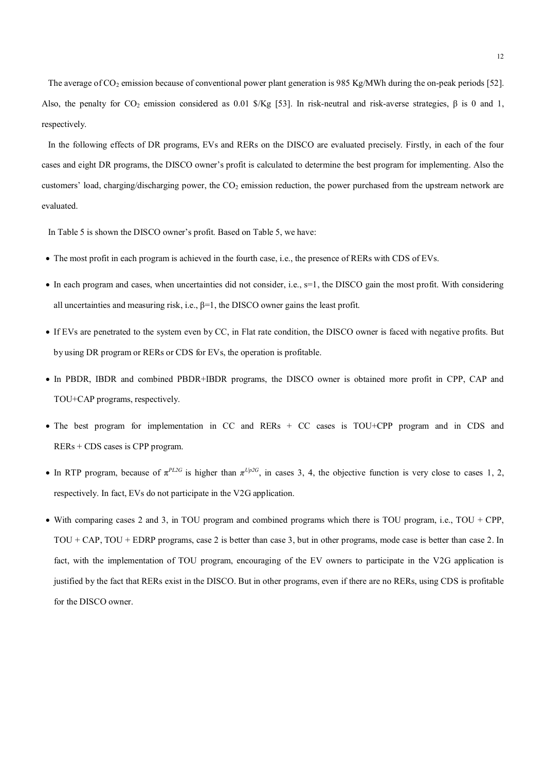The average of  $CO_2$  emission because of conventional power plant generation is 985 Kg/MWh during the on-peak periods [52]. Also, the penalty for CO<sub>2</sub> emission considered as 0.01 \$/Kg [53]. In risk-neutral and risk-averse strategies,  $\beta$  is 0 and 1, respectively.

In the following effects of DR programs, EVs and RERs on the DISCO are evaluated precisely. Firstly, in each of the four cases and eight DR programs, the DISCO owner's profit is calculated to determine the best program for implementing. Also the customers' load, charging/discharging power, the  $CO<sub>2</sub>$  emission reduction, the power purchased from the upstream network are evaluated.

In Table 5 is shown the DISCO owner's profit. Based on Table 5, we have:

- The most profit in each program is achieved in the fourth case, i.e., the presence of RERs with CDS of EVs.
- In each program and cases, when uncertainties did not consider, i.e., s=1, the DISCO gain the most profit. With considering all uncertainties and measuring risk, i.e.,  $\beta=1$ , the DISCO owner gains the least profit.
- If EVs are penetrated to the system even by CC, in Flat rate condition, the DISCO owner is faced with negative profits. But by using DR program or RERs or CDS for EVs, the operation is profitable.
- In PBDR, IBDR and combined PBDR+IBDR programs, the DISCO owner is obtained more profit in CPP, CAP and TOU+CAP programs, respectively.
- The best program for implementation in CC and RERs + CC cases is TOU+CPP program and in CDS and RERs + CDS cases is CPP program.
- In RTP program, because of  $\pi^{PL2G}$  is higher than  $\pi^{Up2G}$ , in cases 3, 4, the objective function is very close to cases 1, 2, respectively. In fact, EVs do not participate in the V2G application.
- With comparing cases 2 and 3, in TOU program and combined programs which there is TOU program, i.e., TOU + CPP, TOU + CAP, TOU + EDRP programs, case 2 is better than case 3, but in other programs, mode case is better than case 2. In fact, with the implementation of TOU program, encouraging of the EV owners to participate in the V2G application is justified by the fact that RERs exist in the DISCO. But in other programs, even if there are no RERs, using CDS is profitable for the DISCO owner.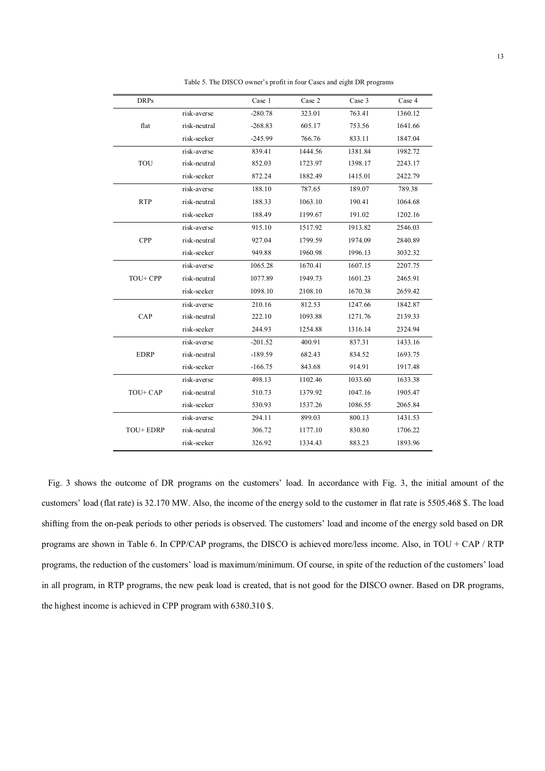| <b>DRPs</b> |              | Case 1    | Case 2  | Case 3  | Case 4  |
|-------------|--------------|-----------|---------|---------|---------|
|             | risk-averse  | $-280.78$ | 323.01  | 763.41  | 1360.12 |
| flat        | risk-neutral | $-268.83$ | 605.17  | 753.56  | 1641.66 |
|             | risk-seeker  | $-245.99$ | 766.76  | 833.11  | 1847.04 |
|             | risk-averse  | 839.41    | 1444.56 | 1381.84 | 1982.72 |
| TOU         | risk-neutral | 852.03    | 1723.97 | 1398.17 | 2243.17 |
|             | risk-seeker  | 872.24    | 1882.49 | 1415.01 | 2422.79 |
|             | risk-averse  | 188.10    | 787.65  | 189.07  | 789.38  |
| <b>RTP</b>  | risk-neutral | 188.33    | 1063.10 | 190.41  | 1064.68 |
|             | risk-seeker  | 188.49    | 1199.67 | 191.02  | 1202.16 |
|             | risk-averse  | 915.10    | 1517.92 | 1913.82 | 2546.03 |
| <b>CPP</b>  | risk-neutral | 927.04    | 1799.59 | 1974.09 | 2840.89 |
|             | risk-seeker  | 949.88    | 1960.98 | 1996.13 | 3032.32 |
|             | risk-averse  | 1065.28   | 1670.41 | 1607.15 | 2207.75 |
| TOU+ CPP    | risk-neutral | 1077.89   | 1949.73 | 1601.23 | 2465.91 |
|             | risk-seeker  | 1098.10   | 2108.10 | 1670.38 | 2659.42 |
|             | risk-averse  | 210.16    | 812.53  | 1247.66 | 1842.87 |
| CAP         | risk-neutral | 222.10    | 1093.88 | 1271.76 | 2139.33 |
|             | risk-seeker  | 244.93    | 1254.88 | 1316.14 | 2324.94 |
|             | risk-averse  | $-201.52$ | 400.91  | 837.31  | 1433.16 |
| <b>EDRP</b> | risk-neutral | $-189.59$ | 682.43  | 834.52  | 1693.75 |
|             | risk-seeker  | $-166.75$ | 843.68  | 914.91  | 1917.48 |
|             | risk-averse  | 498.13    | 1102.46 | 1033.60 | 1633.38 |
| TOU+ CAP    | risk-neutral | 510.73    | 1379.92 | 1047.16 | 1905.47 |
|             | risk-seeker  | 530.93    | 1537.26 | 1086.55 | 2065.84 |
|             | risk-averse  | 294.11    | 899.03  | 800.13  | 1431.53 |
| TOU+EDRP    | risk-neutral | 306.72    | 1177.10 | 830.80  | 1706.22 |
|             | risk-seeker  | 326.92    | 1334.43 | 883.23  | 1893.96 |

Table 5. The DISCO owner's profit in four Cases and eight DR programs

Fig. 3 shows the outcome of DR programs on the customers' load. In accordance with Fig. 3, the initial amount of the customers' load (flat rate) is 32.170 MW. Also, the income of the energy sold to the customer in flat rate is 5505.468 \$. The load shifting from the on-peak periods to other periods is observed. The customers' load and income of the energy sold based on DR programs are shown in Table 6. In CPP/CAP programs, the DISCO is achieved more/less income. Also, in TOU + CAP / RTP programs, the reduction of the customers' load is maximum/minimum. Of course, in spite of the reduction of the customers' load in all program, in RTP programs, the new peak load is created, that is not good for the DISCO owner. Based on DR programs, the highest income is achieved in CPP program with 6380.310 \$.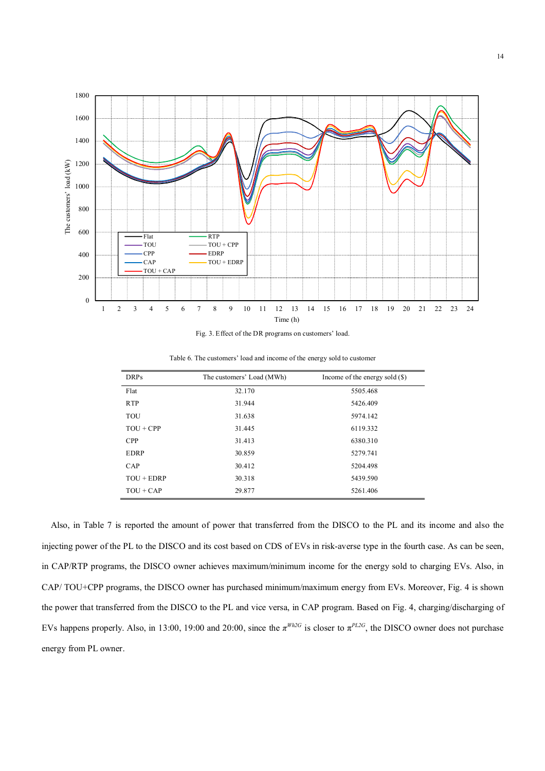

Fig. 3. Effect of the DR programs on customers' load.

| <b>DRPs</b>  | The customers' Load (MWh) | Income of the energy sold $(\$)$ |
|--------------|---------------------------|----------------------------------|
| Flat         | 32.170                    | 5505.468                         |
| <b>RTP</b>   | 31.944                    | 5426.409                         |
| TOU          | 31.638                    | 5974.142                         |
| $TOU + CPP$  | 31.445                    | 6119.332                         |
| <b>CPP</b>   | 31.413                    | 6380.310                         |
| EDRP         | 30.859                    | 5279.741                         |
| CAP          | 30.412                    | 5204.498                         |
| $TOU + EDRP$ | 30.318                    | 5439.590                         |
| $TOU + CAP$  | 29.877                    | 5261.406                         |

Table 6. The customers' load and income of the energy sold to customer

Also, in Table 7 is reported the amount of power that transferred from the DISCO to the PL and its income and also the injecting power of the PL to the DISCO and its cost based on CDS of EVs in risk-averse type in the fourth case. As can be seen, in CAP/RTP programs, the DISCO owner achieves maximum/minimum income for the energy sold to charging EVs. Also, in CAP/ TOU+CPP programs, the DISCO owner has purchased minimum/maximum energy from EVs. Moreover, Fig. 4 is shown the power that transferred from the DISCO to the PL and vice versa, in CAP program. Based on Fig. 4, charging/discharging of EVs happens properly. Also, in 13:00, 19:00 and 20:00, since the  $\pi^{Wh2G}$  is closer to  $\pi^{PL2G}$ , the DISCO owner does not purchase energy from PL owner.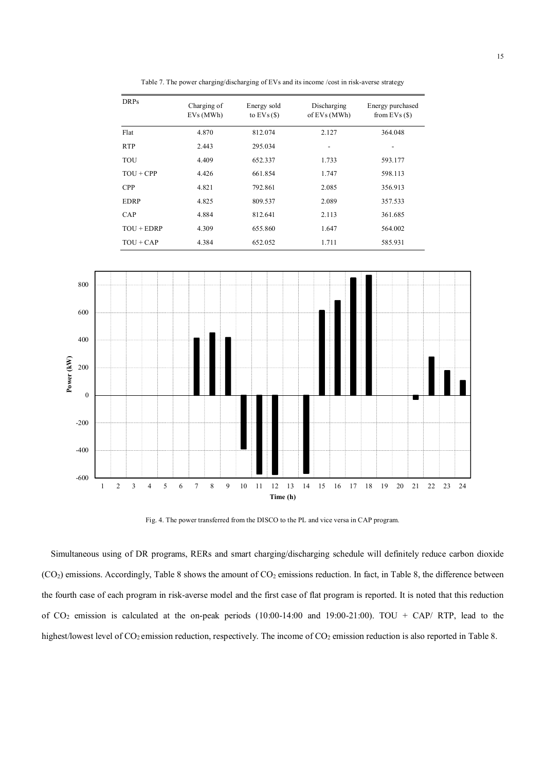| <b>DRPs</b>  | Charging of<br>EVs (MWh) | Energy sold<br>to $EVs(S)$ | Discharging<br>of EVs (MWh) | Energy purchased<br>from $EVs(S)$ |
|--------------|--------------------------|----------------------------|-----------------------------|-----------------------------------|
| Flat         | 4.870                    | 812.074                    | 2.127                       | 364.048                           |
| <b>RTP</b>   | 2.443                    | 295.034                    | $\overline{a}$              |                                   |
| TOU          | 4.409                    | 652.337                    | 1.733                       | 593.177                           |
| $TOU + CPP$  | 4.426                    | 661.854                    | 1.747                       | 598.113                           |
| <b>CPP</b>   | 4.821                    | 792.861                    | 2.085                       | 356.913                           |
| <b>EDRP</b>  | 4.825                    | 809.537                    | 2.089                       | 357.533                           |
| <b>CAP</b>   | 4.884                    | 812.641                    | 2.113                       | 361.685                           |
| $TOU + EDRP$ | 4.309                    | 655.860                    | 1.647                       | 564.002                           |
| $TOU + CAP$  | 4.384                    | 652.052                    | 1.711                       | 585.931                           |

Table 7. The power charging/discharging of EVs and its income /cost in risk-averse strategy



Fig. 4. The power transferred from the DISCO to the PL and vice versa in CAP program.

Simultaneous using of DR programs, RERs and smart charging/discharging schedule will definitely reduce carbon dioxide  $(CO<sub>2</sub>)$  emissions. Accordingly, Table 8 shows the amount of  $CO<sub>2</sub>$  emissions reduction. In fact, in Table 8, the difference between the fourth case of each program in risk-averse model and the first case of flat program is reported. It is noted that this reduction of  $CO_2$  emission is calculated at the on-peak periods (10:00-14:00 and 19:00-21:00). TOU + CAP/ RTP, lead to the highest/lowest level of CO<sub>2</sub> emission reduction, respectively. The income of CO<sub>2</sub> emission reduction is also reported in Table 8.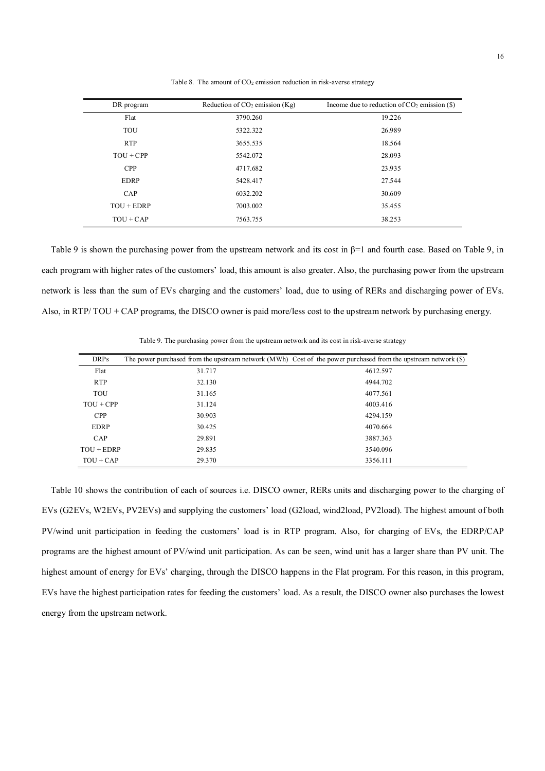| DR program   | Reduction of $CO2$ emission (Kg) | Income due to reduction of $CO2$ emission (\$) |
|--------------|----------------------------------|------------------------------------------------|
| Flat         | 3790.260                         | 19.226                                         |
| TOU          | 5322.322                         | 26.989                                         |
| <b>RTP</b>   | 3655.535                         | 18.564                                         |
| $TOU + CPP$  | 5542.072                         | 28.093                                         |
| <b>CPP</b>   | 4717.682                         | 23.935                                         |
| <b>EDRP</b>  | 5428.417                         | 27.544                                         |
| CAP          | 6032.202                         | 30.609                                         |
| $TOU + EDRP$ | 7003.002                         | 35.455                                         |
| $TOU + CAP$  | 7563.755                         | 38.253                                         |

Table 8. The amount of  $CO<sub>2</sub>$  emission reduction in risk-averse strategy

Table 9 is shown the purchasing power from the upstream network and its cost in β=1 and fourth case. Based on Table 9, in each program with higher rates of the customers' load, this amount is also greater. Also, the purchasing power from the upstream network is less than the sum of EVs charging and the customers' load, due to using of RERs and discharging power of EVs. Also, in RTP/ TOU + CAP programs, the DISCO owner is paid more/less cost to the upstream network by purchasing energy.

| <b>DRPs</b>  |        | The power purchased from the upstream network (MWh) Cost of the power purchased from the upstream network (\$) |
|--------------|--------|----------------------------------------------------------------------------------------------------------------|
| Flat         | 31.717 | 4612.597                                                                                                       |
| <b>RTP</b>   | 32.130 | 4944.702                                                                                                       |
| TOU          | 31.165 | 4077.561                                                                                                       |
| $TOU + CPP$  | 31.124 | 4003.416                                                                                                       |
| <b>CPP</b>   | 30.903 | 4294.159                                                                                                       |
| <b>EDRP</b>  | 30.425 | 4070.664                                                                                                       |
| CAP          | 29.891 | 3887.363                                                                                                       |
| $TOU + EDRP$ | 29.835 | 3540.096                                                                                                       |
| $TOU + CAP$  | 29.370 | 3356.111                                                                                                       |

Table 9. The purchasing power from the upstream network and its cost in risk-averse strategy

Table 10 shows the contribution of each of sources i.e. DISCO owner, RERs units and discharging power to the charging of EVs (G2EVs, W2EVs, PV2EVs) and supplying the customers' load (G2load, wind2load, PV2load). The highest amount of both PV/wind unit participation in feeding the customers' load is in RTP program. Also, for charging of EVs, the EDRP/CAP programs are the highest amount of PV/wind unit participation. As can be seen, wind unit has a larger share than PV unit. The highest amount of energy for EVs' charging, through the DISCO happens in the Flat program. For this reason, in this program, EVs have the highest participation rates for feeding the customers' load. As a result, the DISCO owner also purchases the lowest energy from the upstream network.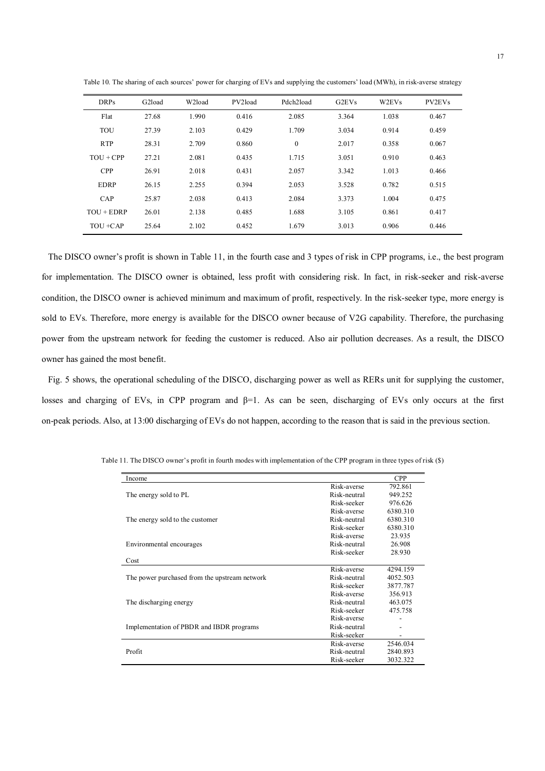| <b>DRPs</b>  | G2load | W <sub>2</sub> load | PV <sub>2</sub> load | Pdch <sub>2</sub> load | G2EVs | W <sub>2</sub> EV <sub>s</sub> | PV <sub>2</sub> EV <sub>s</sub> |
|--------------|--------|---------------------|----------------------|------------------------|-------|--------------------------------|---------------------------------|
| Flat         | 27.68  | 1.990               | 0.416                | 2.085                  | 3.364 | 1.038                          | 0.467                           |
| TOU          | 27.39  | 2.103               | 0.429                | 1.709                  | 3.034 | 0.914                          | 0.459                           |
| <b>RTP</b>   | 28.31  | 2.709               | 0.860                | $\mathbf{0}$           | 2.017 | 0.358                          | 0.067                           |
| $TOU + CPP$  | 27.21  | 2.081               | 0.435                | 1.715                  | 3.051 | 0.910                          | 0.463                           |
| <b>CPP</b>   | 26.91  | 2.018               | 0.431                | 2.057                  | 3.342 | 1.013                          | 0.466                           |
| <b>EDRP</b>  | 26.15  | 2.255               | 0.394                | 2.053                  | 3.528 | 0.782                          | 0.515                           |
| CAP          | 25.87  | 2.038               | 0.413                | 2.084                  | 3.373 | 1.004                          | 0.475                           |
| $TOU + EDRP$ | 26.01  | 2.138               | 0.485                | 1.688                  | 3.105 | 0.861                          | 0.417                           |
| $TOU + CAP$  | 25.64  | 2.102               | 0.452                | 1.679                  | 3.013 | 0.906                          | 0.446                           |

Table 10. The sharing of each sources' power for charging of EVs and supplying the customers' load (MWh), in risk-averse strategy

The DISCO owner's profit is shown in Table 11, in the fourth case and 3 types of risk in CPP programs, i.e., the best program for implementation. The DISCO owner is obtained, less profit with considering risk. In fact, in risk-seeker and risk-averse condition, the DISCO owner is achieved minimum and maximum of profit, respectively. In the risk-seeker type, more energy is sold to EVs. Therefore, more energy is available for the DISCO owner because of V2G capability. Therefore, the purchasing power from the upstream network for feeding the customer is reduced. Also air pollution decreases. As a result, the DISCO owner has gained the most benefit.

Fig. 5 shows, the operational scheduling of the DISCO, discharging power as well as RERs unit for supplying the customer, losses and charging of EVs, in CPP program and  $\beta=1$ . As can be seen, discharging of EVs only occurs at the first on-peak periods. Also, at 13:00 discharging of EVs do not happen, according to the reason that is said in the previous section.

| Income                                        |              | <b>CPP</b> |
|-----------------------------------------------|--------------|------------|
|                                               | Risk-averse  | 792.861    |
| The energy sold to PL                         | Risk-neutral | 949.252    |
|                                               | Risk-seeker  | 976.626    |
|                                               | Risk-averse  | 6380.310   |
| The energy sold to the customer               | Risk-neutral | 6380.310   |
|                                               | Risk-seeker  | 6380.310   |
|                                               | Risk-averse  | 23.935     |
| Environmental encourages                      | Risk-neutral | 26.908     |
|                                               | Risk-seeker  | 28.930     |
| Cost                                          |              |            |
|                                               | Risk-averse  | 4294.159   |
| The power purchased from the upstream network | Risk-neutral | 4052.503   |
|                                               | Risk-seeker  | 3877.787   |
|                                               | Risk-averse  | 356.913    |
| The discharging energy                        | Risk-neutral | 463.075    |
|                                               | Risk-seeker  | 475.758    |
|                                               | Risk-averse  |            |
| Implementation of PBDR and IBDR programs      | Risk-neutral |            |
|                                               | Risk-seeker  |            |
|                                               | Risk-averse  | 2546.034   |
| Profit                                        | Risk-neutral | 2840.893   |
|                                               | Risk-seeker  | 3032.322   |

Table 11. The DISCO owner's profit in fourth modes with implementation of the CPP program in three types of risk (\$)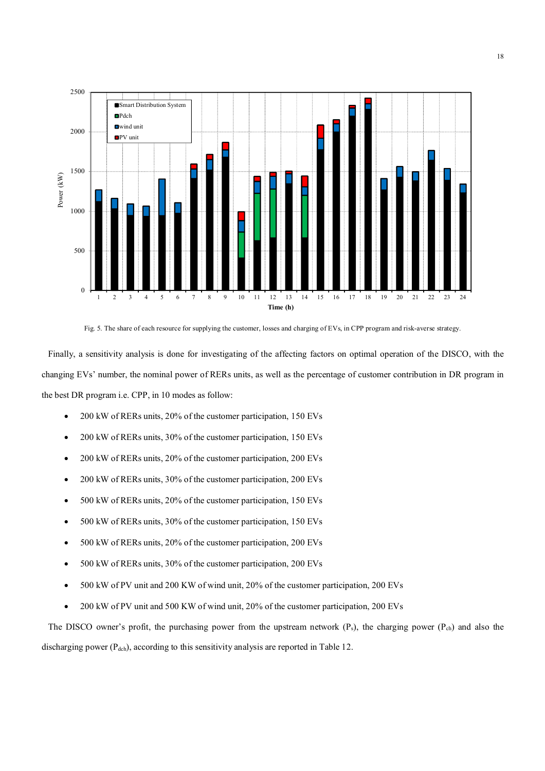

Fig. 5. The share of each resource for supplying the customer, losses and charging of EVs, in CPP program and risk-averse strategy.

Finally, a sensitivity analysis is done for investigating of the affecting factors on optimal operation of the DISCO, with the changing EVs' number, the nominal power of RERs units, as well as the percentage of customer contribution in DR program in the best DR program i.e. CPP, in 10 modes as follow:

- 200 kW of RERs units, 20% of the customer participation, 150 EVs
- 200 kW of RERs units, 30% of the customer participation, 150 EVs
- 200 kW of RERs units, 20% of the customer participation, 200 EVs
- 200 kW of RERs units, 30% of the customer participation, 200 EVs
- 500 kW of RERs units, 20% of the customer participation, 150 EVs
- 500 kW of RERs units, 30% of the customer participation, 150 EVs
- 500 kW of RERs units, 20% of the customer participation, 200 EVs
- 500 kW of RERs units, 30% of the customer participation, 200 EVs
- 500 kW of PV unit and 200 KW of wind unit, 20% of the customer participation, 200 EVs
- 200 kW of PV unit and 500 KW of wind unit, 20% of the customer participation, 200 EVs

The DISCO owner's profit, the purchasing power from the upstream network  $(P_s)$ , the charging power  $(P_{ch})$  and also the discharging power  $(P_{dch})$ , according to this sensitivity analysis are reported in Table 12.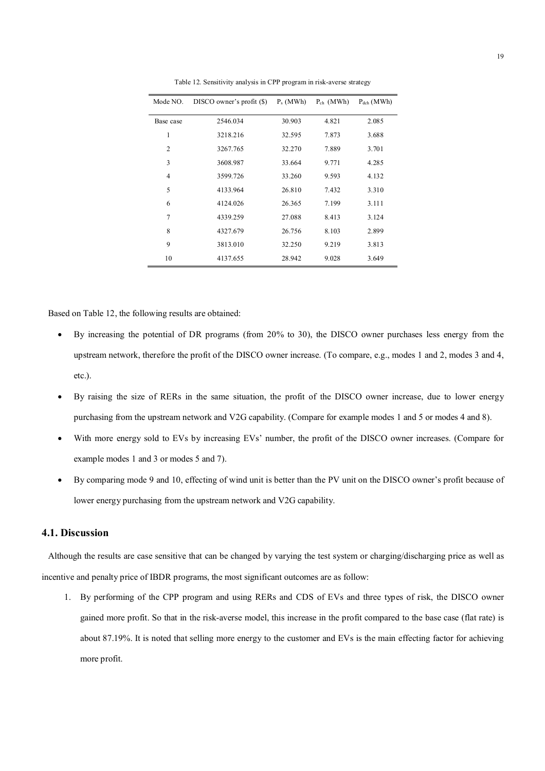| Mode NO.       | DISCO owner's profit $(\$)$ | $P_s$ (MWh) | $P_{ch}$ (MWh) | $P_{dch}$ (MWh) |
|----------------|-----------------------------|-------------|----------------|-----------------|
| Base case      | 2546.034                    | 30.903      | 4.821          | 2.085           |
| 1              | 3218.216                    | 32.595      | 7.873          | 3.688           |
| $\overline{2}$ | 3267.765                    | 32.270      | 7.889          | 3.701           |
| 3              | 3608.987                    | 33.664      | 9.771          | 4.285           |
| $\overline{4}$ | 3599.726                    | 33.260      | 9.593          | 4.132           |
| 5              | 4133.964                    | 26.810      | 7.432          | 3.310           |
| 6              | 4124.026                    | 26.365      | 7.199          | 3.111           |
| 7              | 4339.259                    | 27.088      | 8.413          | 3.124           |
| 8              | 4327.679                    | 26.756      | 8.103          | 2.899           |
| 9              | 3813.010                    | 32.250      | 9.219          | 3.813           |
| 10             | 4137.655                    | 28.942      | 9.028          | 3.649           |

Table 12. Sensitivity analysis in CPP program in risk-averse strategy

Based on Table 12, the following results are obtained:

- By increasing the potential of DR programs (from 20% to 30), the DISCO owner purchases less energy from the upstream network, therefore the profit of the DISCO owner increase. (To compare, e.g., modes 1 and 2, modes 3 and 4, etc.).
- By raising the size of RERs in the same situation, the profit of the DISCO owner increase, due to lower energy purchasing from the upstream network and V2G capability. (Compare for example modes 1 and 5 or modes 4 and 8).
- With more energy sold to EVs by increasing EVs' number, the profit of the DISCO owner increases. (Compare for example modes 1 and 3 or modes 5 and 7).
- By comparing mode 9 and 10, effecting of wind unit is better than the PV unit on the DISCO owner's profit because of lower energy purchasing from the upstream network and V2G capability.

## **4.1. Discussion**

Although the results are case sensitive that can be changed by varying the test system or charging/discharging price as well as incentive and penalty price of IBDR programs, the most significant outcomes are as follow:

1. By performing of the CPP program and using RERs and CDS of EVs and three types of risk, the DISCO owner gained more profit. So that in the risk-averse model, this increase in the profit compared to the base case (flat rate) is about 87.19%. It is noted that selling more energy to the customer and EVs is the main effecting factor for achieving more profit.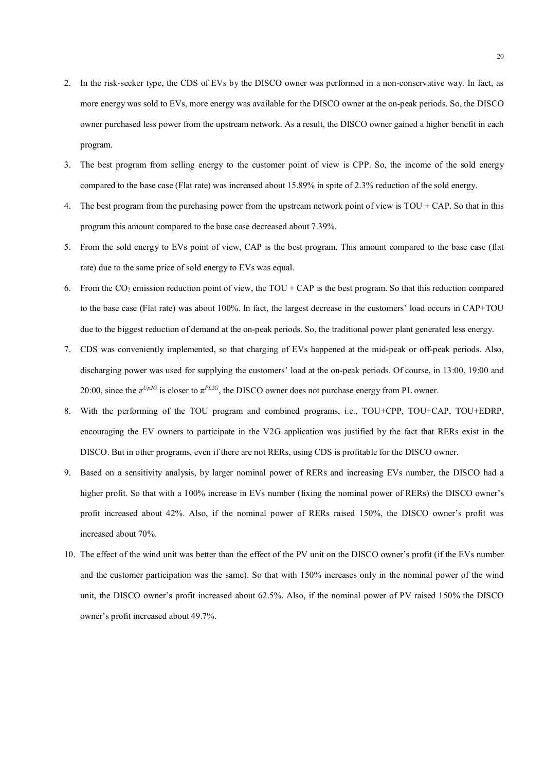- 2. In the risk-seeker type, the CDS of EVs by the DISCO owner was performed in a non-conservative way. In fact, as more energy was sold to EVs, more energy was available for the DISCO owner at the on-peak periods. So, the DISCO owner purchased less power from the upstream network. As a result, the DISCO owner gained a higher benefit in each program.
- 3. The best program from selling energy to the customer point of view is CPP. So, the income of the sold energy compared to the base case (Flat rate) was increased about 15.89% in spite of 2.3% reduction of the sold energy.
- 4. The best program from the purchasing power from the upstream network point of view is TOU + CAP. So that in this program this amount compared to the base case decreased about 7.39%.
- 5. From the sold energy to EVs point of view, CAP is the best program. This amount compared to the base case (flat rate) due to the same price of sold energy to EVs was equal.
- 6. From the CO<sub>2</sub> emission reduction point of view, the TOU + CAP is the best program. So that this reduction compared to the base case (Flat rate) was about 100%. In fact, the largest decrease in the customers' load occurs in CAP+TOU due to the biggest reduction of demand at the on-peak periods. So, the traditional power plant generated less energy.
- 7. CDS was conveniently implemented, so that charging of EVs happened at the mid-peak or off-peak periods. Also, discharging power was used for supplying the customers' load at the on-peak periods. Of course, in 13:00, 19:00 and 20:00, since the  $\pi^{Up2G}$  is closer to  $\pi^{PL2G}$ , the DISCO owner does not purchase energy from PL owner.
- 8. With the performing of the TOU program and combined programs, i.e., TOU+CPP, TOU+CAP, TOU+EDRP, encouraging the EV owners to participate in the V2G application was justified by the fact that RERs exist in the DISCO. But in other programs, even if there are not RERs, using CDS is profitable for the DISCO owner.
- 9. Based on a sensitivity analysis, by larger nominal power of RERs and increasing EVs number, the DISCO had a higher profit. So that with a 100% increase in EVs number (fixing the nominal power of RERs) the DISCO owner's profit increased about 42%. Also, if the nominal power of RERs raised 150%, the DISCO owner's profit was increased about 70%.
- 10. The effect of the wind unit was better than the effect of the PV unit on the DISCO owner's profit (if the EVs number and the customer participation was the same). So that with 150% increases only in the nominal power of the wind unit, the DISCO owner's profit increased about 62.5%. Also, if the nominal power of PV raised 150% the DISCO owner's profit increased about 49.7%.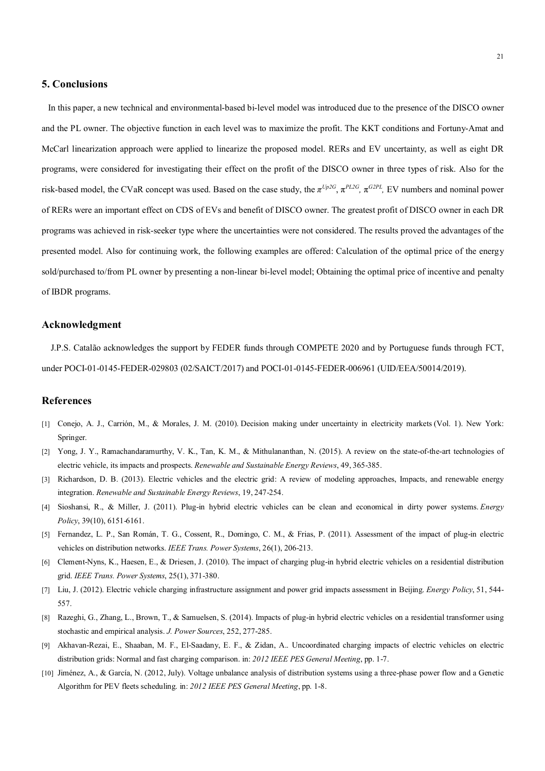### **5. Conclusions**

In this paper, a new technical and environmental-based bi-level model was introduced due to the presence of the DISCO owner and the PL owner. The objective function in each level was to maximize the profit. The KKT conditions and Fortuny-Amat and McCarl linearization approach were applied to linearize the proposed model. RERs and EV uncertainty, as well as eight DR programs, were considered for investigating their effect on the profit of the DISCO owner in three types of risk. Also for the risk-based model, the CVaR concept was used. Based on the case study, the  $\pi^{Up2G}$ ,  $\pi^{PL2G}$ ,  $\pi^{G2PL}$ , EV numbers and nominal power of RERs were an important effect on CDS of EVs and benefit of DISCO owner. The greatest profit of DISCO owner in each DR programs was achieved in risk-seeker type where the uncertainties were not considered. The results proved the advantages of the presented model. Also for continuing work, the following examples are offered: Calculation of the optimal price of the energy sold/purchased to/from PL owner by presenting a non-linear bi-level model; Obtaining the optimal price of incentive and penalty of IBDR programs.

# **Acknowledgment**

J.P.S. Catalão acknowledges the support by FEDER funds through COMPETE 2020 and by Portuguese funds through FCT, under POCI-01-0145-FEDER-029803 (02/SAICT/2017) and POCI-01-0145-FEDER-006961 (UID/EEA/50014/2019).

### **References**

- [1] Conejo, A. J., Carrión, M., & Morales, J. M. (2010). Decision making under uncertainty in electricity markets (Vol. 1). New York: Springer.
- [2] Yong, J. Y., Ramachandaramurthy, V. K., Tan, K. M., & Mithulananthan, N. (2015). A review on the state-of-the-art technologies of electric vehicle, its impacts and prospects. *Renewable and Sustainable Energy Reviews*, 49, 365-385.
- [3] Richardson, D. B. (2013). Electric vehicles and the electric grid: A review of modeling approaches, Impacts, and renewable energy integration. *Renewable and Sustainable Energy Reviews*, 19, 247-254.
- [4] Sioshansi, R., & Miller, J. (2011). Plug-in hybrid electric vehicles can be clean and economical in dirty power systems. *Energy Policy*, 39(10), 6151-6161.
- [5] Fernandez, L. P., San Román, T. G., Cossent, R., Domingo, C. M., & Frias, P. (2011). Assessment of the impact of plug-in electric vehicles on distribution networks. *IEEE Trans. Power Systems*, 26(1), 206-213.
- [6] Clement-Nyns, K., Haesen, E., & Driesen, J. (2010). The impact of charging plug-in hybrid electric vehicles on a residential distribution grid. *IEEE Trans. Power Systems*, 25(1), 371-380.
- [7] Liu, J. (2012). Electric vehicle charging infrastructure assignment and power grid impacts assessment in Beijing. *Energy Policy*, 51, 544- 557.
- [8] Razeghi, G., Zhang, L., Brown, T., & Samuelsen, S. (2014). Impacts of plug-in hybrid electric vehicles on a residential transformer using stochastic and empirical analysis. *J. Power Sources*, 252, 277-285.
- [9] Akhavan-Rezai, E., Shaaban, M. F., El-Saadany, E. F., & Zidan, A.. Uncoordinated charging impacts of electric vehicles on electric distribution grids: Normal and fast charging comparison. in: *2012 IEEE PES General Meeting*, pp. 1-7.
- [10] Jiménez, A., & García, N. (2012, July). Voltage unbalance analysis of distribution systems using a three-phase power flow and a Genetic Algorithm for PEV fleets scheduling. in: *2012 IEEE PES General Meeting*, pp. 1-8.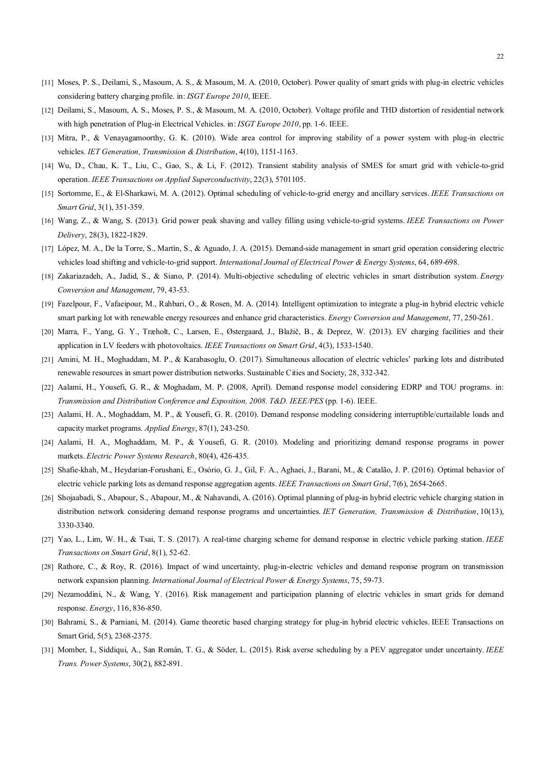- [11] Moses, P. S., Deilami, S., Masoum, A. S., & Masoum, M. A. (2010, October). Power quality of smart grids with plug-in electric vehicles considering battery charging profile. in: *ISGT Europe 2010*, IEEE.
- [12] Deilami, S., Masoum, A. S., Moses, P. S., & Masoum, M. A. (2010, October). Voltage profile and THD distortion of residential network with high penetration of Plug-in Electrical Vehicles. in: *ISGT Europe 2010*, pp. 1-6. IEEE.
- [13] Mitra, P., & Venayagamoorthy, G. K. (2010). Wide area control for improving stability of a power system with plug-in electric vehicles. *IET Generation, Transmission & Distribution*, 4(10), 1151-1163.
- [14] Wu, D., Chau, K. T., Liu, C., Gao, S., & Li, F. (2012). Transient stability analysis of SMES for smart grid with vehicle-to-grid operation. *IEEE Transactions on Applied Superconductivity*, 22(3), 5701105.
- [15] Sortomme, E., & El-Sharkawi, M. A. (2012). Optimal scheduling of vehicle-to-grid energy and ancillary services. *IEEE Transactions on Smart Grid*, 3(1), 351-359.
- [16] Wang, Z., & Wang, S. (2013). Grid power peak shaving and valley filling using vehicle-to-grid systems. *IEEE Transactions on Power Delivery*, 28(3), 1822-1829.
- [17] López, M. A., De la Torre, S., Martín, S., & Aguado, J. A. (2015). Demand-side management in smart grid operation considering electric vehicles load shifting and vehicle-to-grid support. *International Journal of Electrical Power & Energy Systems*, 64, 689-698.
- [18] Zakariazadeh, A., Jadid, S., & Siano, P. (2014). Multi-objective scheduling of electric vehicles in smart distribution system. *Energy Conversion and Management*, 79, 43-53.
- [19] Fazelpour, F., Vafaeipour, M., Rahbari, O., & Rosen, M. A. (2014). Intelligent optimization to integrate a plug-in hybrid electric vehicle smart parking lot with renewable energy resources and enhance grid characteristics. *Energy Conversion and Management*, 77, 250-261.
- [20] Marra, F., Yang, G. Y., Træholt, C., Larsen, E., Østergaard, J., Blažič, B., & Deprez, W. (2013). EV charging facilities and their application in LV feeders with photovoltaics. *IEEE Transactions on Smart Grid*, 4(3), 1533-1540.
- [21] Amini, M. H., Moghaddam, M. P., & Karabasoglu, O. (2017). Simultaneous allocation of electric vehicles' parking lots and distributed renewable resources in smart power distribution networks. Sustainable Cities and Society, 28, 332-342.
- [22] Aalami, H., Yousefi, G. R., & Moghadam, M. P. (2008, April). Demand response model considering EDRP and TOU programs. in: *Transmission and Distribution Conference and Exposition, 2008. T&D. IEEE/PES* (pp. 1-6). IEEE.
- [23] Aalami, H. A., Moghaddam, M. P., & Yousefi, G. R. (2010). Demand response modeling considering interruptible/curtailable loads and capacity market programs. *Applied Energy*, 87(1), 243-250.
- [24] Aalami, H. A., Moghaddam, M. P., & Yousefi, G. R. (2010). Modeling and prioritizing demand response programs in power markets. *Electric Power Systems Research*, 80(4), 426-435.
- [25] Shafie-khah, M., Heydarian-Forushani, E., Osório, G. J., Gil, F. A., Aghaei, J., Barani, M., & Catalão, J. P. (2016). Optimal behavior of electric vehicle parking lots as demand response aggregation agents. *IEEE Transactions on Smart Grid*, 7(6), 2654-2665.
- [26] Shojaabadi, S., Abapour, S., Abapour, M., & Nahavandi, A. (2016). Optimal planning of plug-in hybrid electric vehicle charging station in distribution network considering demand response programs and uncertainties. *IET Generation, Transmission & Distribution*, 10(13), 3330-3340.
- [27] Yao, L., Lim, W. H., & Tsai, T. S. (2017). A real-time charging scheme for demand response in electric vehicle parking station. *IEEE Transactions on Smart Grid*, 8(1), 52-62.
- [28] Rathore, C., & Roy, R. (2016). Impact of wind uncertainty, plug-in-electric vehicles and demand response program on transmission network expansion planning. *International Journal of Electrical Power & Energy Systems*, 75, 59-73.
- [29] Nezamoddini, N., & Wang, Y. (2016). Risk management and participation planning of electric vehicles in smart grids for demand response. *Energy*, 116, 836-850.
- [30] Bahrami, S., & Parniani, M. (2014). Game theoretic based charging strategy for plug-in hybrid electric vehicles. IEEE Transactions on Smart Grid, 5(5), 2368-2375.
- [31] Momber, I., Siddiqui, A., San Román, T. G., & Söder, L. (2015). Risk averse scheduling by a PEV aggregator under uncertainty. *IEEE Trans. Power Systems*, 30(2), 882-891.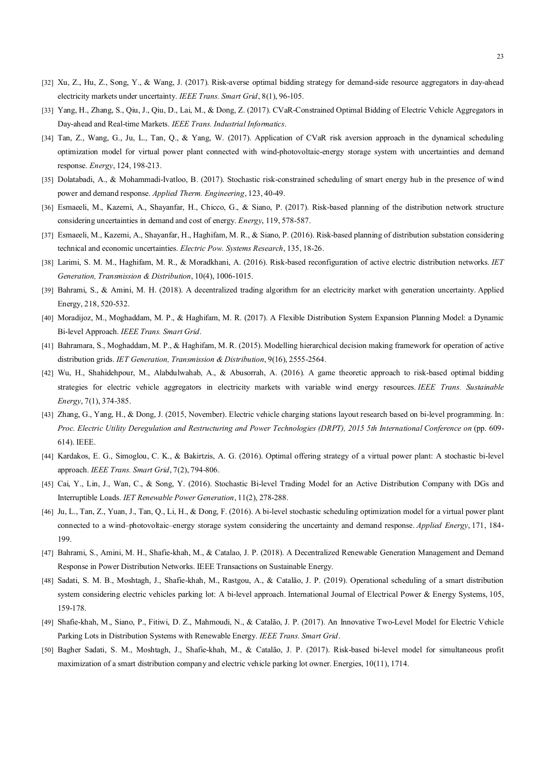- [32] Xu, Z., Hu, Z., Song, Y., & Wang, J. (2017). Risk-averse optimal bidding strategy for demand-side resource aggregators in day-ahead electricity markets under uncertainty. *IEEE Trans. Smart Grid*, 8(1), 96-105.
- [33] Yang, H., Zhang, S., Qiu, J., Qiu, D., Lai, M., & Dong, Z. (2017). CVaR-Constrained Optimal Bidding of Electric Vehicle Aggregators in Day-ahead and Real-time Markets. *IEEE Trans. Industrial Informatics*.
- [34] Tan, Z., Wang, G., Ju, L., Tan, Q., & Yang, W. (2017). Application of CVaR risk aversion approach in the dynamical scheduling optimization model for virtual power plant connected with wind-photovoltaic-energy storage system with uncertainties and demand response. *Energy*, 124, 198-213.
- [35] Dolatabadi, A., & Mohammadi-Ivatloo, B. (2017). Stochastic risk-constrained scheduling of smart energy hub in the presence of wind power and demand response. *Applied Therm. Engineering*, 123, 40-49.
- [36] Esmaeeli, M., Kazemi, A., Shayanfar, H., Chicco, G., & Siano, P. (2017). Risk-based planning of the distribution network structure considering uncertainties in demand and cost of energy. *Energy*, 119, 578-587.
- [37] Esmaeeli, M., Kazemi, A., Shayanfar, H., Haghifam, M. R., & Siano, P. (2016). Risk-based planning of distribution substation considering technical and economic uncertainties. *Electric Pow. Systems Research*, 135, 18-26.
- [38] Larimi, S. M. M., Haghifam, M. R., & Moradkhani, A. (2016). Risk-based reconfiguration of active electric distribution networks. *IET Generation, Transmission & Distribution*, 10(4), 1006-1015.
- [39] Bahrami, S., & Amini, M. H. (2018). A decentralized trading algorithm for an electricity market with generation uncertainty. Applied Energy, 218, 520-532.
- [40] Moradijoz, M., Moghaddam, M. P., & Haghifam, M. R. (2017). A Flexible Distribution System Expansion Planning Model: a Dynamic Bi-level Approach. *IEEE Trans. Smart Grid*.
- [41] Bahramara, S., Moghaddam, M. P., & Haghifam, M. R. (2015). Modelling hierarchical decision making framework for operation of active distribution grids. *IET Generation, Transmission & Distribution*, 9(16), 2555-2564.
- [42] Wu, H., Shahidehpour, M., Alabdulwahab, A., & Abusorrah, A. (2016). A game theoretic approach to risk-based optimal bidding strategies for electric vehicle aggregators in electricity markets with variable wind energy resources. *IEEE Trans. Sustainable Energy*, 7(1), 374-385.
- [43] Zhang, G., Yang, H., & Dong, J. (2015, November). Electric vehicle charging stations layout research based on bi-level programming. In: *Proc. Electric Utility Deregulation and Restructuring and Power Technologies (DRPT), 2015 5th International Conference on* (pp. 609- 614). IEEE.
- [44] Kardakos, E. G., Simoglou, C. K., & Bakirtzis, A. G. (2016). Optimal offering strategy of a virtual power plant: A stochastic bi-level approach. *IEEE Trans. Smart Grid*, 7(2), 794-806.
- [45] Cai, Y., Lin, J., Wan, C., & Song, Y. (2016). Stochastic Bi-level Trading Model for an Active Distribution Company with DGs and Interruptible Loads. *IET Renewable Power Generation*, 11(2), 278-288.
- [46] Ju, L., Tan, Z., Yuan, J., Tan, Q., Li, H., & Dong, F. (2016). A bi-level stochastic scheduling optimization model for a virtual power plant connected to a wind–photovoltaic–energy storage system considering the uncertainty and demand response. *Applied Energy*, 171, 184- 199.
- [47] Bahrami, S., Amini, M. H., Shafie-khah, M., & Catalao, J. P. (2018). A Decentralized Renewable Generation Management and Demand Response in Power Distribution Networks. IEEE Transactions on Sustainable Energy.
- [48] Sadati, S. M. B., Moshtagh, J., Shafie-khah, M., Rastgou, A., & Catalão, J. P. (2019). Operational scheduling of a smart distribution system considering electric vehicles parking lot: A bi-level approach. International Journal of Electrical Power & Energy Systems, 105, 159-178.
- [49] Shafie-khah, M., Siano, P., Fitiwi, D. Z., Mahmoudi, N., & Catalão, J. P. (2017). An Innovative Two-Level Model for Electric Vehicle Parking Lots in Distribution Systems with Renewable Energy. *IEEE Trans. Smart Grid*.
- [50] Bagher Sadati, S. M., Moshtagh, J., Shafie-khah, M., & Catalão, J. P. (2017). Risk-based bi-level model for simultaneous profit maximization of a smart distribution company and electric vehicle parking lot owner. Energies, 10(11), 1714.